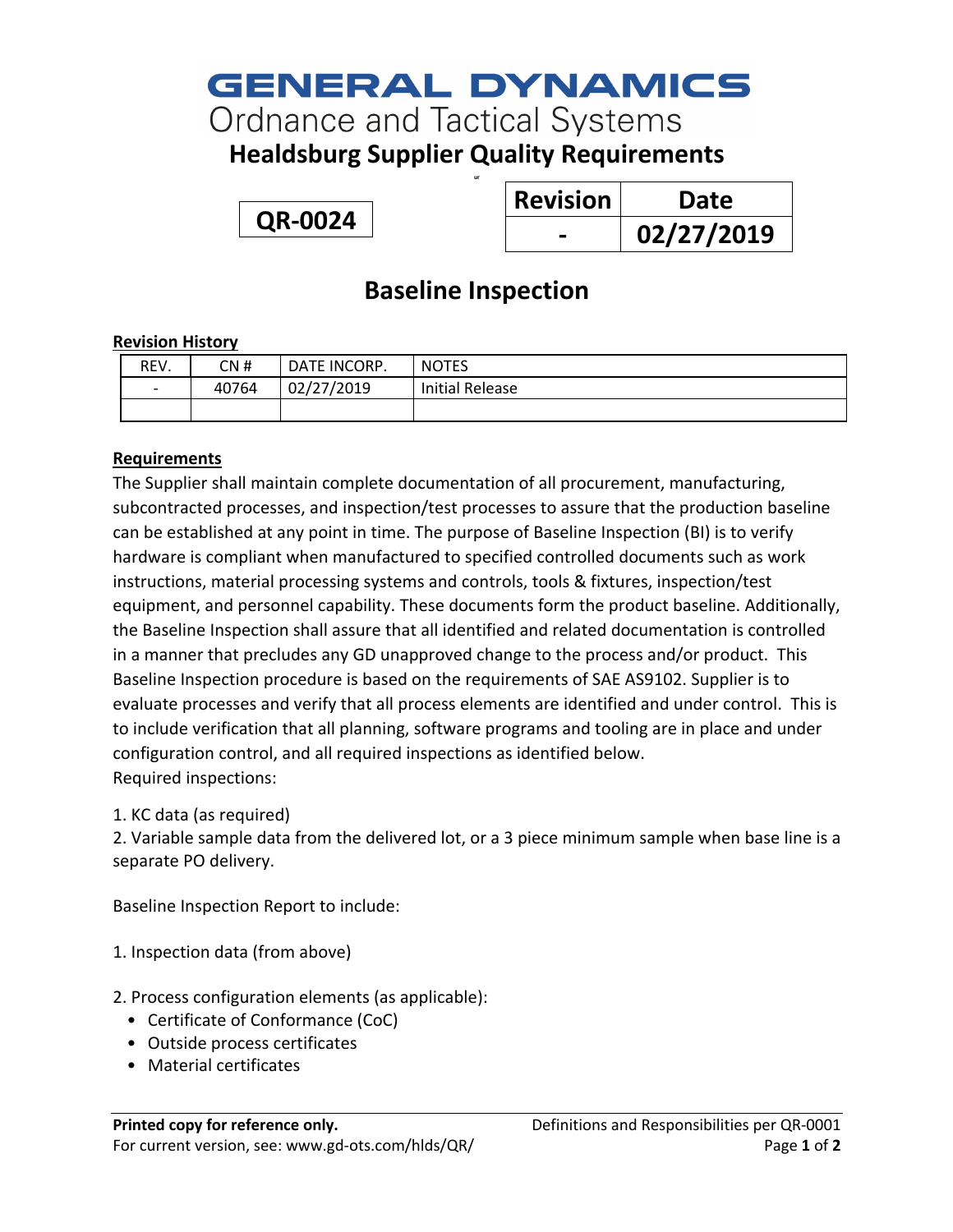## **GENERAL DYNAMICS**

**Ordnance and Tactical Systems** 

**Healdsburg Supplier Quality Requirements ur**

**QR-0024**

| <b>Revision</b> | Date       |
|-----------------|------------|
|                 | 02/27/2019 |

## **Baseline Inspection**

## **Revision History**

| REV. | CN #  | DATE INCORP. | <b>NOTES</b>    |
|------|-------|--------------|-----------------|
| -    | 40764 | 02/27/2019   | Initial Release |
|      |       |              |                 |

## **Requirements**

The Supplier shall maintain complete documentation of all procurement, manufacturing, subcontracted processes, and inspection/test processes to assure that the production baseline can be established at any point in time. The purpose of Baseline Inspection (BI) is to verify hardware is compliant when manufactured to specified controlled documents such as work instructions, material processing systems and controls, tools & fixtures, inspection/test equipment, and personnel capability. These documents form the product baseline. Additionally, the Baseline Inspection shall assure that all identified and related documentation is controlled in a manner that precludes any GD unapproved change to the process and/or product. This Baseline Inspection procedure is based on the requirements of SAE AS9102. Supplier is to evaluate processes and verify that all process elements are identified and under control. This is to include verification that all planning, software programs and tooling are in place and under configuration control, and all required inspections as identified below. Required inspections:

1. KC data (as required)

2. Variable sample data from the delivered lot, or a 3 piece minimum sample when base line is a separate PO delivery.

Baseline Inspection Report to include:

1. Inspection data (from above)

2. Process configuration elements (as applicable):

- Certificate of Conformance (CoC)
- Outside process certificates
- Material certificates